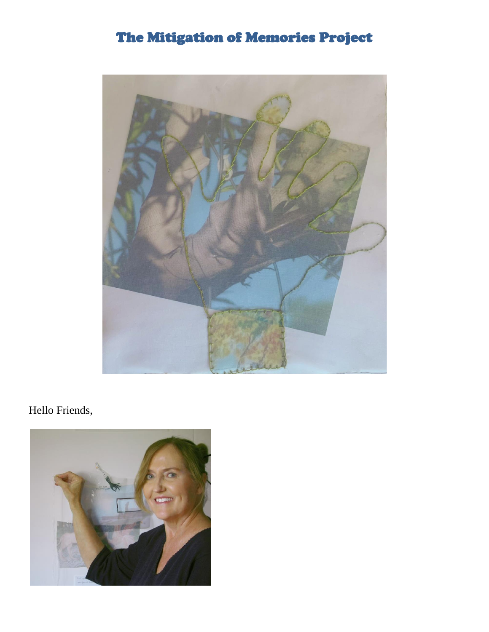## The Mitigation of Memories Project



## Hello Friends,

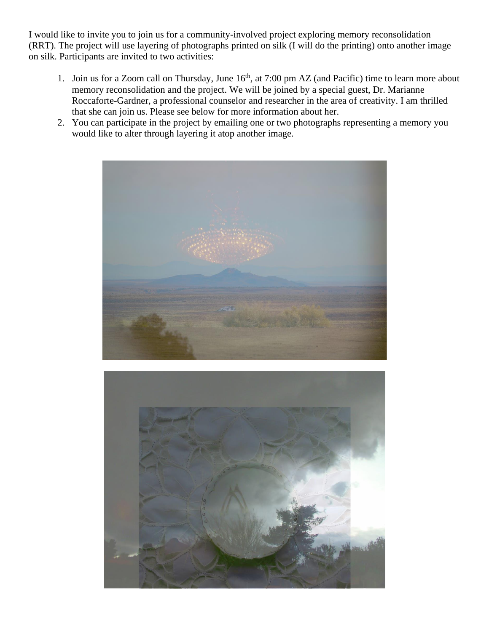I would like to invite you to join us for a community-involved project exploring memory reconsolidation (RRT). The project will use layering of photographs printed on silk (I will do the printing) onto another image on silk. Participants are invited to two activities:

- 1. Join us for a Zoom call on Thursday, June  $16<sup>th</sup>$ , at 7:00 pm AZ (and Pacific) time to learn more about memory reconsolidation and the project. We will be joined by a special guest, Dr. Marianne Roccaforte-Gardner, a professional counselor and researcher in the area of creativity. I am thrilled that she can join us. Please see below for more information about her.
- 2. You can participate in the project by emailing one or two photographs representing a memory you would like to alter through layering it atop another image.



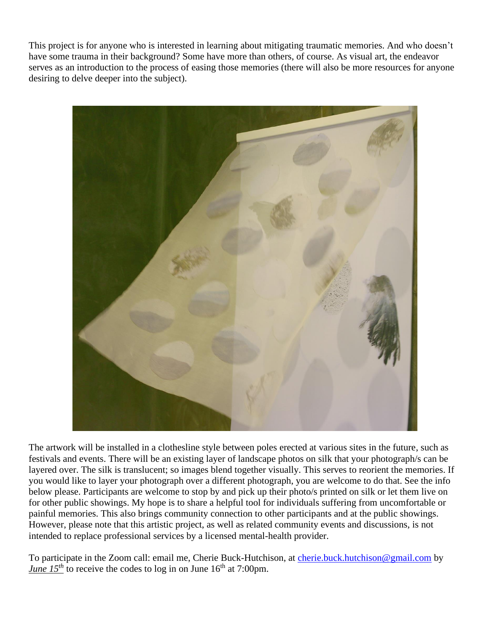This project is for anyone who is interested in learning about mitigating traumatic memories. And who doesn't have some trauma in their background? Some have more than others, of course. As visual art, the endeavor serves as an introduction to the process of easing those memories (there will also be more resources for anyone desiring to delve deeper into the subject).



The artwork will be installed in a clothesline style between poles erected at various sites in the future, such as festivals and events. There will be an existing layer of landscape photos on silk that your photograph/s can be layered over. The silk is translucent; so images blend together visually. This serves to reorient the memories. If you would like to layer your photograph over a different photograph, you are welcome to do that. See the info below please. Participants are welcome to stop by and pick up their photo/s printed on silk or let them live on for other public showings. My hope is to share a helpful tool for individuals suffering from uncomfortable or painful memories. This also brings community connection to other participants and at the public showings. However, please note that this artistic project, as well as related community events and discussions, is not intended to replace professional services by a licensed mental-health provider.

To participate in the Zoom call: email me, Cherie Buck-Hutchison, at [cherie.buck.hutchison@gmail.com](mailto:cherie.buck.hutchison@gmail.com) by *June*  $15^{th}$  to receive the codes to log in on June  $16^{th}$  at 7:00pm.